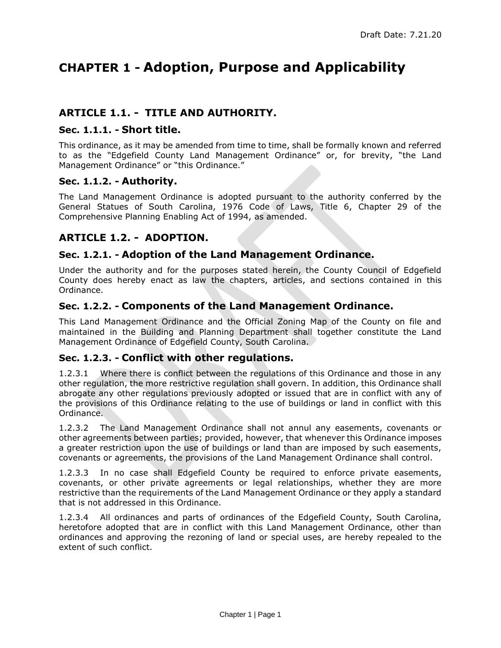# **CHAPTER 1 - Adoption, Purpose and Applicability**

# **ARTICLE 1.1. - TITLE AND AUTHORITY.**

#### **Sec. 1.1.1. - Short title.**

This ordinance, as it may be amended from time to time, shall be formally known and referred to as the "Edgefield County Land Management Ordinance" or, for brevity, "the Land Management Ordinance" or "this Ordinance."

#### **Sec. 1.1.2. - Authority.**

The Land Management Ordinance is adopted pursuant to the authority conferred by the General Statues of South Carolina, 1976 Code of Laws, Title 6, Chapter 29 of the Comprehensive Planning Enabling Act of 1994, as amended.

# **ARTICLE 1.2. - ADOPTION.**

### **Sec. 1.2.1. - Adoption of the Land Management Ordinance.**

Under the authority and for the purposes stated herein, the County Council of Edgefield County does hereby enact as law the chapters, articles, and sections contained in this Ordinance.

### **Sec. 1.2.2. - Components of the Land Management Ordinance.**

This Land Management Ordinance and the Official Zoning Map of the County on file and maintained in the Building and Planning Department shall together constitute the Land Management Ordinance of Edgefield County, South Carolina.

#### **Sec. 1.2.3. - Conflict with other regulations.**

1.2.3.1 Where there is conflict between the regulations of this Ordinance and those in any other regulation, the more restrictive regulation shall govern. In addition, this Ordinance shall abrogate any other regulations previously adopted or issued that are in conflict with any of the provisions of this Ordinance relating to the use of buildings or land in conflict with this Ordinance.

1.2.3.2 The Land Management Ordinance shall not annul any easements, covenants or other agreements between parties; provided, however, that whenever this Ordinance imposes a greater restriction upon the use of buildings or land than are imposed by such easements, covenants or agreements, the provisions of the Land Management Ordinance shall control.

1.2.3.3 In no case shall Edgefield County be required to enforce private easements, covenants, or other private agreements or legal relationships, whether they are more restrictive than the requirements of the Land Management Ordinance or they apply a standard that is not addressed in this Ordinance.

1.2.3.4 All ordinances and parts of ordinances of the Edgefield County, South Carolina, heretofore adopted that are in conflict with this Land Management Ordinance, other than ordinances and approving the rezoning of land or special uses, are hereby repealed to the extent of such conflict.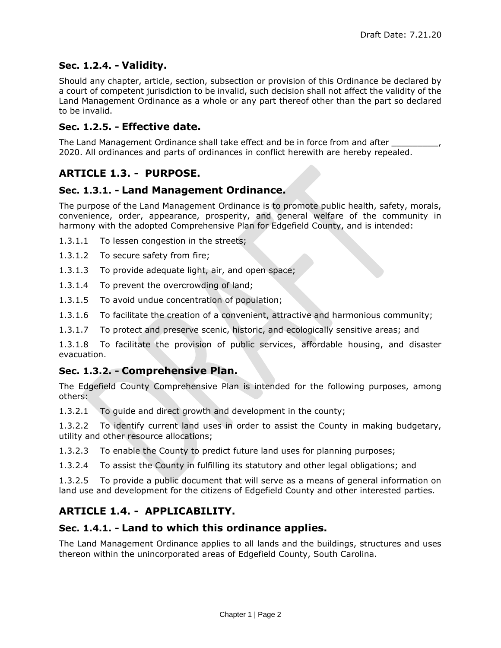# **Sec. 1.2.4. - Validity.**

Should any chapter, article, section, subsection or provision of this Ordinance be declared by a court of competent jurisdiction to be invalid, such decision shall not affect the validity of the Land Management Ordinance as a whole or any part thereof other than the part so declared to be invalid.

### **Sec. 1.2.5. - Effective date.**

The Land Management Ordinance shall take effect and be in force from and after 2020. All ordinances and parts of ordinances in conflict herewith are hereby repealed.

# **ARTICLE 1.3. - PURPOSE.**

### **Sec. 1.3.1. - Land Management Ordinance.**

The purpose of the Land Management Ordinance is to promote public health, safety, morals, convenience, order, appearance, prosperity, and general welfare of the community in harmony with the adopted Comprehensive Plan for Edgefield County, and is intended:

- 1.3.1.1 To lessen congestion in the streets;
- 1.3.1.2 To secure safety from fire;
- 1.3.1.3 To provide adequate light, air, and open space;
- 1.3.1.4 To prevent the overcrowding of land;
- 1.3.1.5 To avoid undue concentration of population;
- 1.3.1.6 To facilitate the creation of a convenient, attractive and harmonious community;
- 1.3.1.7 To protect and preserve scenic, historic, and ecologically sensitive areas; and

1.3.1.8 To facilitate the provision of public services, affordable housing, and disaster evacuation.

### **Sec. 1.3.2. - Comprehensive Plan.**

The Edgefield County Comprehensive Plan is intended for the following purposes, among others:

1.3.2.1 To guide and direct growth and development in the county;

1.3.2.2 To identify current land uses in order to assist the County in making budgetary, utility and other resource allocations;

1.3.2.3 To enable the County to predict future land uses for planning purposes;

1.3.2.4 To assist the County in fulfilling its statutory and other legal obligations; and

1.3.2.5 To provide a public document that will serve as a means of general information on land use and development for the citizens of Edgefield County and other interested parties.

# **ARTICLE 1.4. - APPLICABILITY.**

### **Sec. 1.4.1. - Land to which this ordinance applies.**

The Land Management Ordinance applies to all lands and the buildings, structures and uses thereon within the unincorporated areas of Edgefield County, South Carolina.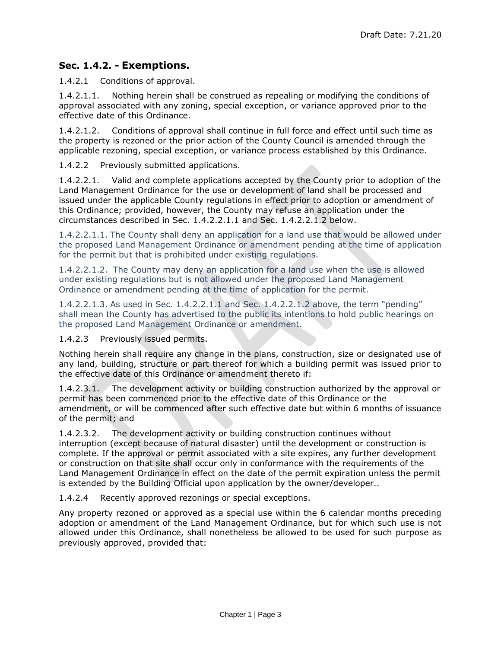# <span id="page-2-2"></span>**Sec. 1.4.2. - Exemptions.**

1.4.2.1 Conditions of approval.

1.4.2.1.1. Nothing herein shall be construed as repealing or modifying the conditions of approval associated with any zoning, special exception, or variance approved prior to the effective date of this Ordinance.

1.4.2.1.2. Conditions of approval shall continue in full force and effect until such time as the property is rezoned or the prior action of the County Council is amended through the applicable rezoning, special exception, or variance process established by this Ordinance.

1.4.2.2 Previously submitted applications.

1.4.2.2.1. Valid and complete applications accepted by the County prior to adoption of the Land Management Ordinance for the use or development of land shall be processed and issued under the applicable County regulations in effect prior to adoption or amendment of this Ordinance; provided, however, the County may refuse an application under the circumstances described in Sec. [1.4.2.2.1.1](#page-2-0) and Sec. [1.4.2.2.1.2 below.](#page-2-1)

<span id="page-2-0"></span>1.4.2.2.1.1. The County shall deny an application for a land use that would be allowed under the proposed Land Management Ordinance or amendment pending at the time of application for the permit but that is prohibited under existing regulations.

<span id="page-2-1"></span>1.4.2.2.1.2. The County may deny an application for a land use when the use is allowed under existing regulations but is not allowed under the proposed Land Management Ordinance or amendment pending at the time of application for the permit.

1.4.2.2.1.3. As used in Sec. [1.4.2.2.1.1](#page-2-0) and Sec. [1.4.2.2.1.2 above](#page-2-1), the term "pending" shall mean the County has advertised to the public its intentions to hold public hearings on the proposed Land Management Ordinance or amendment.

1.4.2.3 Previously issued permits.

Nothing herein shall require any change in the plans, construction, size or designated use of any land, building, structure or part thereof for which a building permit was issued prior to the effective date of this Ordinance or amendment thereto if:

1.4.2.3.1. The development activity or building construction authorized by the approval or permit has been commenced prior to the effective date of this Ordinance or the amendment, or will be commenced after such effective date but within 6 months of issuance of the permit; and

1.4.2.3.2. The development activity or building construction continues without interruption (except because of natural disaster) until the development or construction is complete. If the approval or permit associated with a site expires, any further development or construction on that site shall occur only in conformance with the requirements of the Land Management Ordinance in effect on the date of the permit expiration unless the permit is extended by the Building Official upon application by the owner/developer..

1.4.2.4 Recently approved rezonings or special exceptions.

Any property rezoned or approved as a special use within the 6 calendar months preceding adoption or amendment of the Land Management Ordinance, but for which such use is not allowed under this Ordinance, shall nonetheless be allowed to be used for such purpose as previously approved, provided that: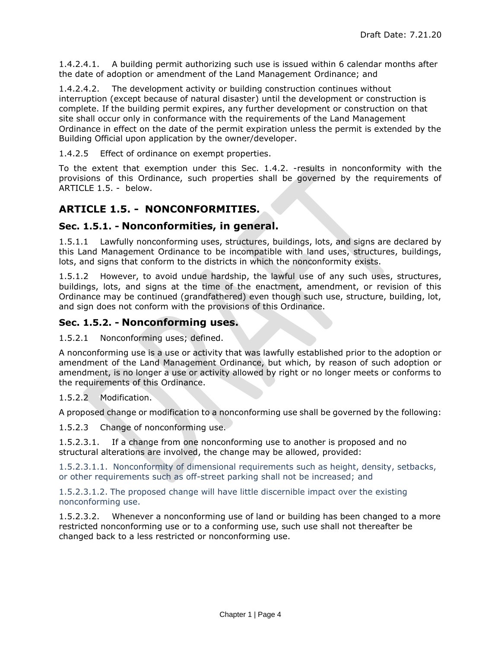1.4.2.4.1. A building permit authorizing such use is issued within 6 calendar months after the date of adoption or amendment of the Land Management Ordinance; and

1.4.2.4.2. The development activity or building construction continues without interruption (except because of natural disaster) until the development or construction is complete. If the building permit expires, any further development or construction on that site shall occur only in conformance with the requirements of the Land Management Ordinance in effect on the date of the permit expiration unless the permit is extended by the Building Official upon application by the owner/developer.

1.4.2.5 Effect of ordinance on exempt properties.

To the extent that exemption under this [Sec. 1.4.2. -r](#page-2-2)esults in nonconformity with the provisions of this Ordinance, such properties shall be governed by the requirements of [ARTICLE 1.5. - below.](#page-3-0)

# <span id="page-3-0"></span>**ARTICLE 1.5. - NONCONFORMITIES.**

### **Sec. 1.5.1. - Nonconformities, in general.**

1.5.1.1 Lawfully nonconforming uses, structures, buildings, lots, and signs are declared by this Land Management Ordinance to be incompatible with land uses, structures, buildings, lots, and signs that conform to the districts in which the nonconformity exists.

1.5.1.2 However, to avoid undue hardship, the lawful use of any such uses, structures, buildings, lots, and signs at the time of the enactment, amendment, or revision of this Ordinance may be continued (grandfathered) even though such use, structure, building, lot, and sign does not conform with the provisions of this Ordinance.

### **Sec. 1.5.2. - Nonconforming uses.**

1.5.2.1 Nonconforming uses; defined.

A nonconforming use is a use or activity that was lawfully established prior to the adoption or amendment of the Land Management Ordinance, but which, by reason of such adoption or amendment, is no longer a use or activity allowed by right or no longer meets or conforms to the requirements of this Ordinance.

#### 1.5.2.2 Modification.

A proposed change or modification to a nonconforming use shall be governed by the following:

1.5.2.3 Change of nonconforming use.

1.5.2.3.1. If a change from one nonconforming use to another is proposed and no structural alterations are involved, the change may be allowed, provided:

1.5.2.3.1.1. Nonconformity of dimensional requirements such as height, density, setbacks, or other requirements such as off-street parking shall not be increased; and

1.5.2.3.1.2. The proposed change will have little discernible impact over the existing nonconforming use.

1.5.2.3.2. Whenever a nonconforming use of land or building has been changed to a more restricted nonconforming use or to a conforming use, such use shall not thereafter be changed back to a less restricted or nonconforming use.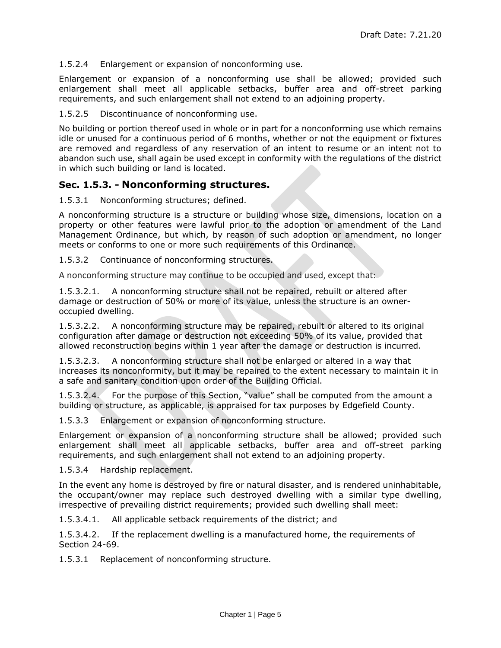1.5.2.4 Enlargement or expansion of nonconforming use.

Enlargement or expansion of a nonconforming use shall be allowed; provided such enlargement shall meet all applicable setbacks, buffer area and off-street parking requirements, and such enlargement shall not extend to an adjoining property.

1.5.2.5 Discontinuance of nonconforming use.

No building or portion thereof used in whole or in part for a nonconforming use which remains idle or unused for a continuous period of 6 months, whether or not the equipment or fixtures are removed and regardless of any reservation of an intent to resume or an intent not to abandon such use, shall again be used except in conformity with the regulations of the district in which such building or land is located.

#### **Sec. 1.5.3. - Nonconforming structures.**

1.5.3.1 Nonconforming structures; defined.

A nonconforming structure is a structure or building whose size, dimensions, location on a property or other features were lawful prior to the adoption or amendment of the Land Management Ordinance, but which, by reason of such adoption or amendment, no longer meets or conforms to one or more such requirements of this Ordinance.

1.5.3.2 Continuance of nonconforming structures.

A nonconforming structure may continue to be occupied and used, except that:

1.5.3.2.1. A nonconforming structure shall not be repaired, rebuilt or altered after damage or destruction of 50% or more of its value, unless the structure is an owneroccupied dwelling.

1.5.3.2.2. A nonconforming structure may be repaired, rebuilt or altered to its original configuration after damage or destruction not exceeding 50% of its value, provided that allowed reconstruction begins within 1 year after the damage or destruction is incurred.

1.5.3.2.3. A nonconforming structure shall not be enlarged or altered in a way that increases its nonconformity, but it may be repaired to the extent necessary to maintain it in a safe and sanitary condition upon order of the Building Official.

1.5.3.2.4. For the purpose of this Section, "value" shall be computed from the amount a building or structure, as applicable, is appraised for tax purposes by Edgefield County.

1.5.3.3 Enlargement or expansion of nonconforming structure.

Enlargement or expansion of a nonconforming structure shall be allowed; provided such enlargement shall meet all applicable setbacks, buffer area and off-street parking requirements, and such enlargement shall not extend to an adjoining property.

1.5.3.4 Hardship replacement.

In the event any home is destroyed by fire or natural disaster, and is rendered uninhabitable, the occupant/owner may replace such destroyed dwelling with a similar type dwelling, irrespective of prevailing district requirements; provided such dwelling shall meet:

1.5.3.4.1. All applicable setback requirements of the district; and

1.5.3.4.2. If the replacement dwelling is a manufactured home, the requirements of Section 24-69.

1.5.3.1 Replacement of nonconforming structure.